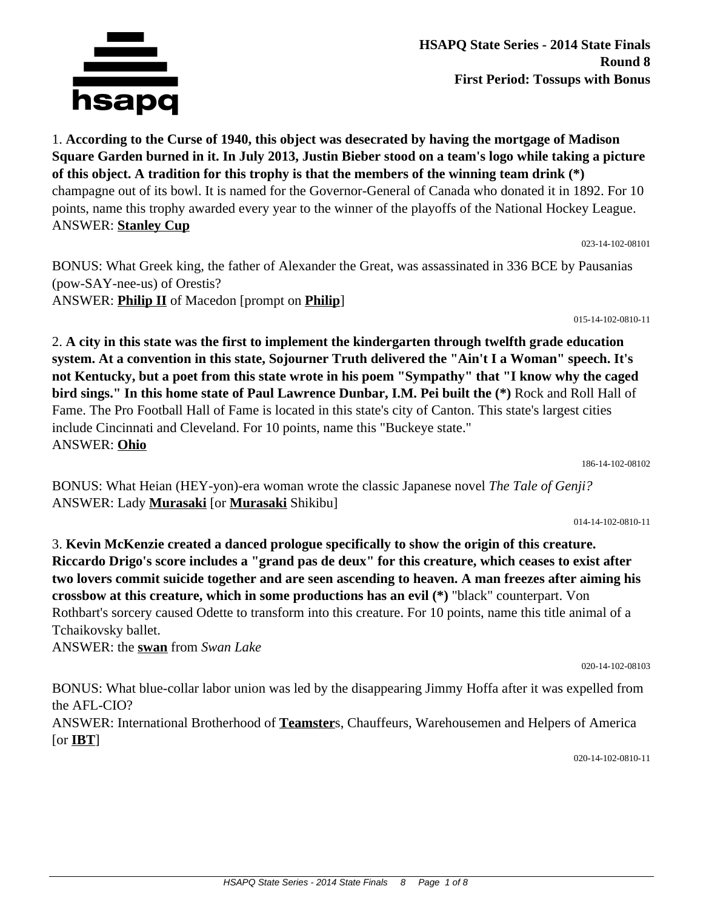

1. **According to the Curse of 1940, this object was desecrated by having the mortgage of Madison Square Garden burned in it. In July 2013, Justin Bieber stood on a team's logo while taking a picture of this object. A tradition for this trophy is that the members of the winning team drink (\*)** champagne out of its bowl. It is named for the Governor-General of Canada who donated it in 1892. For 10 points, name this trophy awarded every year to the winner of the playoffs of the National Hockey League. ANSWER: **Stanley Cup**

023-14-102-08101

BONUS: What Greek king, the father of Alexander the Great, was assassinated in 336 BCE by Pausanias (pow-SAY-nee-us) of Orestis? ANSWER: **Philip II** of Macedon [prompt on **Philip**]

015-14-102-0810-11

2. **A city in this state was the first to implement the kindergarten through twelfth grade education system. At a convention in this state, Sojourner Truth delivered the "Ain't I a Woman" speech. It's not Kentucky, but a poet from this state wrote in his poem "Sympathy" that "I know why the caged bird sings." In this home state of Paul Lawrence Dunbar, I.M. Pei built the (\*)** Rock and Roll Hall of Fame. The Pro Football Hall of Fame is located in this state's city of Canton. This state's largest cities include Cincinnati and Cleveland. For 10 points, name this "Buckeye state." ANSWER: **Ohio**

186-14-102-08102

BONUS: What Heian (HEY-yon)-era woman wrote the classic Japanese novel *The Tale of Genji?* ANSWER: Lady **Murasaki** [or **Murasaki** Shikibu]

014-14-102-0810-11

3. **Kevin McKenzie created a danced prologue specifically to show the origin of this creature. Riccardo Drigo's score includes a "grand pas de deux" for this creature, which ceases to exist after two lovers commit suicide together and are seen ascending to heaven. A man freezes after aiming his crossbow at this creature, which in some productions has an evil (\*)** "black" counterpart. Von Rothbart's sorcery caused Odette to transform into this creature. For 10 points, name this title animal of a Tchaikovsky ballet.

ANSWER: the **swan** from *Swan Lake*

020-14-102-08103

BONUS: What blue-collar labor union was led by the disappearing Jimmy Hoffa after it was expelled from the AFL-CIO? ANSWER: International Brotherhood of **Teamster**s, Chauffeurs, Warehousemen and Helpers of America [or **IBT**]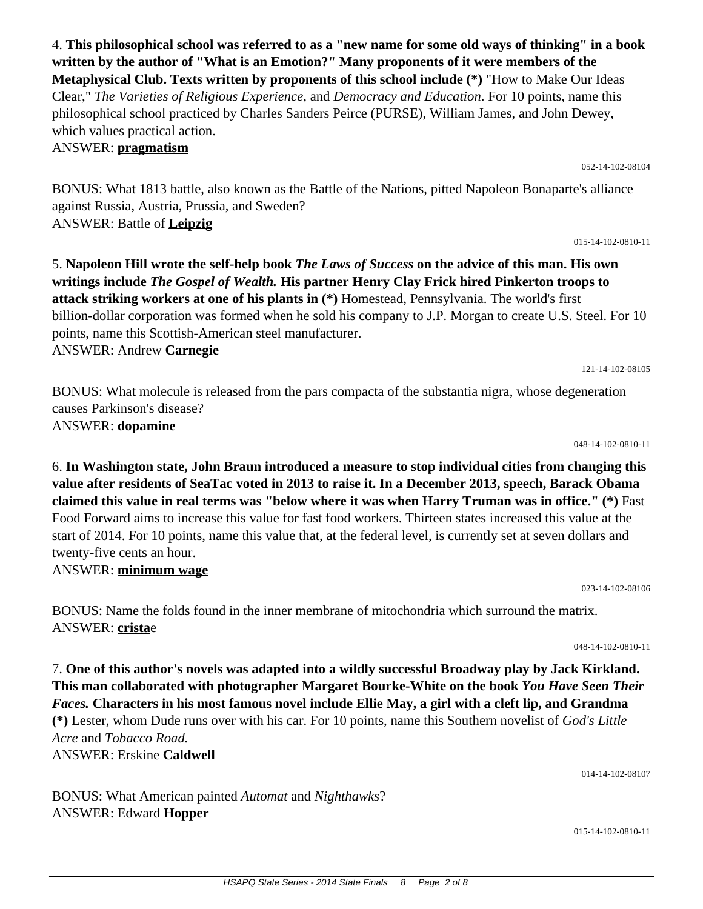**written by the author of "What is an Emotion?" Many proponents of it were members of the Metaphysical Club. Texts written by proponents of this school include (\*)** "How to Make Our Ideas Clear," *The Varieties of Religious Experience,* and *Democracy and Education*. For 10 points, name this philosophical school practiced by Charles Sanders Peirce (PURSE), William James, and John Dewey, which values practical action. ANSWER: **pragmatism**

4. **This philosophical school was referred to as a "new name for some old ways of thinking" in a book**

BONUS: What 1813 battle, also known as the Battle of the Nations, pitted Napoleon Bonaparte's alliance against Russia, Austria, Prussia, and Sweden? ANSWER: Battle of **Leipzig**

5. **Napoleon Hill wrote the self-help book** *The Laws of Success* **on the advice of this man. His own writings include** *The Gospel of Wealth.* **His partner Henry Clay Frick hired Pinkerton troops to attack striking workers at one of his plants in (\*)** Homestead, Pennsylvania. The world's first billion-dollar corporation was formed when he sold his company to J.P. Morgan to create U.S. Steel. For 10 points, name this Scottish-American steel manufacturer. ANSWER: Andrew **Carnegie**

BONUS: What molecule is released from the pars compacta of the substantia nigra, whose degeneration causes Parkinson's disease? ANSWER: **dopamine**

6. **In Washington state, John Braun introduced a measure to stop individual cities from changing this value after residents of SeaTac voted in 2013 to raise it. In a December 2013, speech, Barack Obama claimed this value in real terms was "below where it was when Harry Truman was in office." (\*)** Fast Food Forward aims to increase this value for fast food workers. Thirteen states increased this value at the start of 2014. For 10 points, name this value that, at the federal level, is currently set at seven dollars and twenty-five cents an hour.

ANSWER: **minimum wage**

BONUS: Name the folds found in the inner membrane of mitochondria which surround the matrix. ANSWER: **crista**e

7. **One of this author's novels was adapted into a wildly successful Broadway play by Jack Kirkland. This man collaborated with photographer Margaret Bourke-White on the book** *You Have Seen Their Faces.* **Characters in his most famous novel include Ellie May, a girl with a cleft lip, and Grandma (\*)** Lester, whom Dude runs over with his car. For 10 points, name this Southern novelist of *God's Little Acre* and *Tobacco Road.*

ANSWER: Erskine **Caldwell**

BONUS: What American painted *Automat* and *Nighthawks*? ANSWER: Edward **Hopper**

048-14-102-0810-11

023-14-102-08106

048-14-102-0810-11

015-14-102-0810-11

014-14-102-08107

# 121-14-102-08105

052-14-102-08104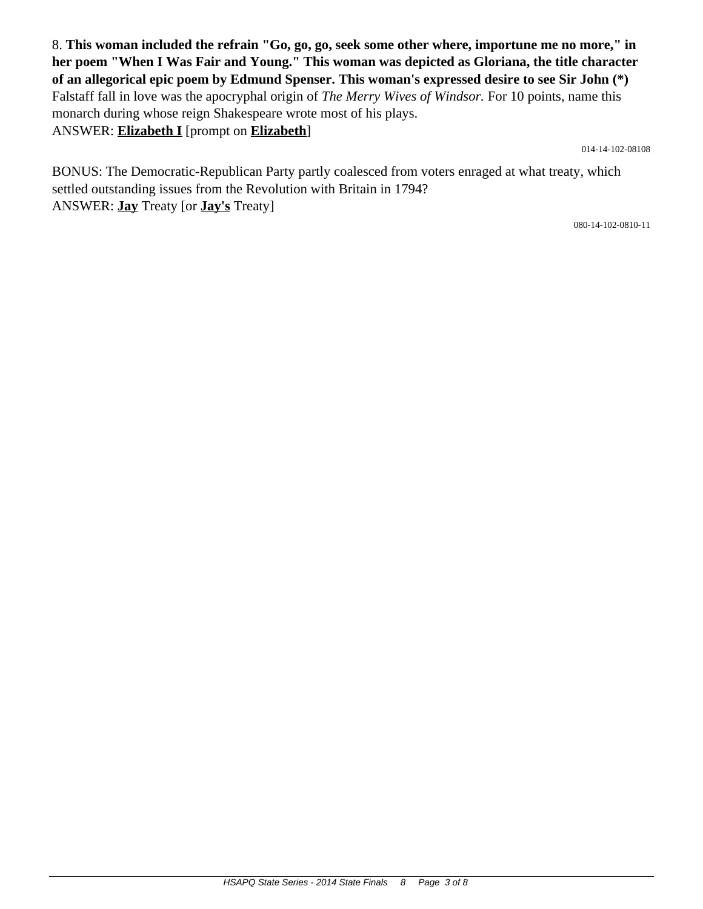8. **This woman included the refrain "Go, go, go, seek some other where, importune me no more," in her poem "When I Was Fair and Young." This woman was depicted as Gloriana, the title character of an allegorical epic poem by Edmund Spenser. This woman's expressed desire to see Sir John (\*)** Falstaff fall in love was the apocryphal origin of *The Merry Wives of Windsor.* For 10 points, name this monarch during whose reign Shakespeare wrote most of his plays. ANSWER: **Elizabeth I** [prompt on **Elizabeth**]

014-14-102-08108

BONUS: The Democratic-Republican Party partly coalesced from voters enraged at what treaty, which settled outstanding issues from the Revolution with Britain in 1794? ANSWER: **Jay** Treaty [or **Jay's** Treaty]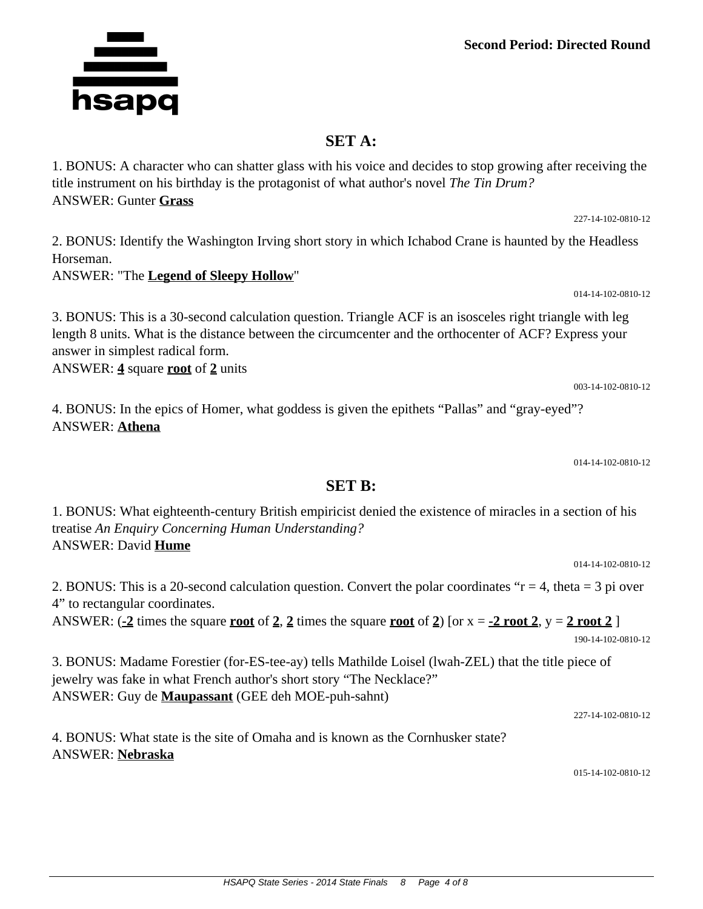### **Second Period: Directed Round**

### **SET A:**

1. BONUS: A character who can shatter glass with his voice and decides to stop growing after receiving the title instrument on his birthday is the protagonist of what author's novel *The Tin Drum?* ANSWER: Gunter **Grass**

2. BONUS: Identify the Washington Irving short story in which Ichabod Crane is haunted by the Headless Horseman.

#### ANSWER: "The **Legend of Sleepy Hollow**"

3. BONUS: This is a 30-second calculation question. Triangle ACF is an isosceles right triangle with leg length 8 units. What is the distance between the circumcenter and the orthocenter of ACF? Express your answer in simplest radical form.

ANSWER: **4** square **root** of **2** units

4. BONUS: In the epics of Homer, what goddess is given the epithets "Pallas" and "gray-eyed"? ANSWER: **Athena**

014-14-102-0810-12

014-14-102-0810-12

#### **SET B:**

1. BONUS: What eighteenth-century British empiricist denied the existence of miracles in a section of his treatise *An Enquiry Concerning Human Understanding?* ANSWER: David **Hume**

2. BONUS: This is a 20-second calculation question. Convert the polar coordinates " $r = 4$ , theta = 3 pi over 4" to rectangular coordinates.

ANSWER:  $\left(\frac{-2}{2}\right)$  times the square **<u>root</u>** of 2, 2 times the square **<u>root**</u> of 2) [or x =  $\frac{-2 \text{ root 2}}{2}$ , y = 2 **root** 2 ] 190-14-102-0810-12

3. BONUS: Madame Forestier (for-ES-tee-ay) tells Mathilde Loisel (lwah-ZEL) that the title piece of jewelry was fake in what French author's short story "The Necklace?" ANSWER: Guy de **Maupassant** (GEE deh MOE-puh-sahnt)

227-14-102-0810-12

4. BONUS: What state is the site of Omaha and is known as the Cornhusker state? ANSWER: **Nebraska**

015-14-102-0810-12



227-14-102-0810-12

014-14-102-0810-12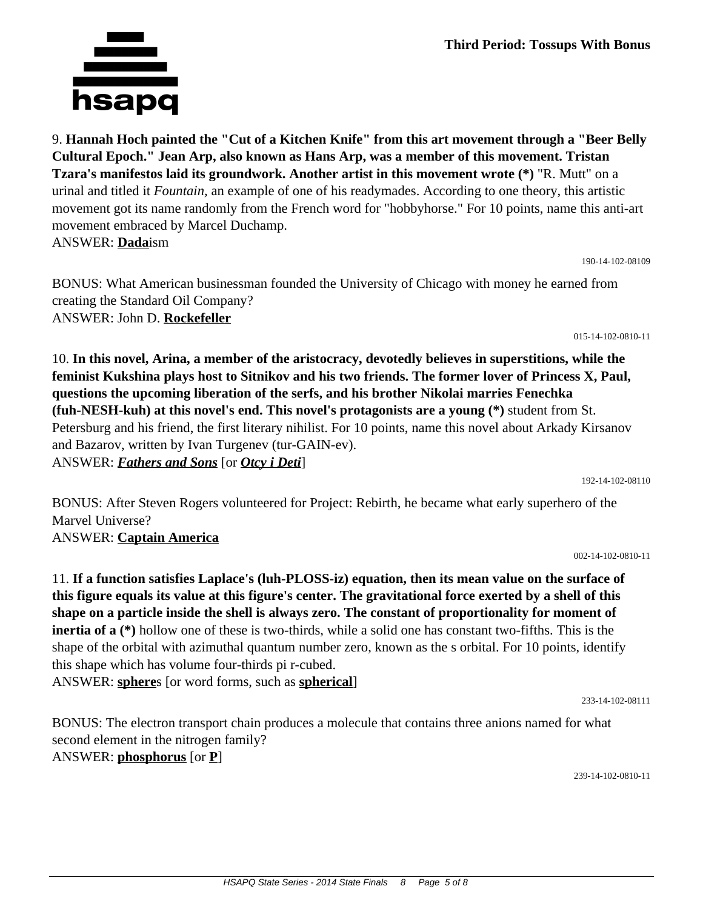9. **Hannah Hoch painted the "Cut of a Kitchen Knife" from this art movement through a "Beer Belly Cultural Epoch." Jean Arp, also known as Hans Arp, was a member of this movement. Tristan Tzara's manifestos laid its groundwork. Another artist in this movement wrote (\*)** "R. Mutt" on a urinal and titled it *Fountain,* an example of one of his readymades. According to one theory, this artistic movement got its name randomly from the French word for "hobbyhorse." For 10 points, name this anti-art movement embraced by Marcel Duchamp. ANSWER: **Dada**ism

BONUS: What American businessman founded the University of Chicago with money he earned from creating the Standard Oil Company? ANSWER: John D. **Rockefeller**

10. **In this novel, Arina, a member of the aristocracy, devotedly believes in superstitions, while the feminist Kukshina plays host to Sitnikov and his two friends. The former lover of Princess X, Paul, questions the upcoming liberation of the serfs, and his brother Nikolai marries Fenechka (fuh-NESH-kuh) at this novel's end. This novel's protagonists are a young (\*)** student from St. Petersburg and his friend, the first literary nihilist. For 10 points, name this novel about Arkady Kirsanov and Bazarov, written by Ivan Turgenev (tur-GAIN-ev). ANSWER: *Fathers and Sons* [or *Otcy i Deti*]

190-14-102-08109

015-14-102-0810-11

BONUS: After Steven Rogers volunteered for Project: Rebirth, he became what early superhero of the Marvel Universe?

002-14-102-0810-11

11. **If a function satisfies Laplace's (luh-PLOSS-iz) equation, then its mean value on the surface of this figure equals its value at this figure's center. The gravitational force exerted by a shell of this shape on a particle inside the shell is always zero. The constant of proportionality for moment of inertia of a (\*)** hollow one of these is two-thirds, while a solid one has constant two-fifths. This is the shape of the orbital with azimuthal quantum number zero, known as the s orbital. For 10 points, identify this shape which has volume four-thirds pi r-cubed. ANSWER: **sphere**s [or word forms, such as **spherical**]

233-14-102-08111

BONUS: The electron transport chain produces a molecule that contains three anions named for what second element in the nitrogen family? ANSWER: **phosphorus** [or **P**]

239-14-102-0810-11



192-14-102-08110

## ANSWER: **Captain America**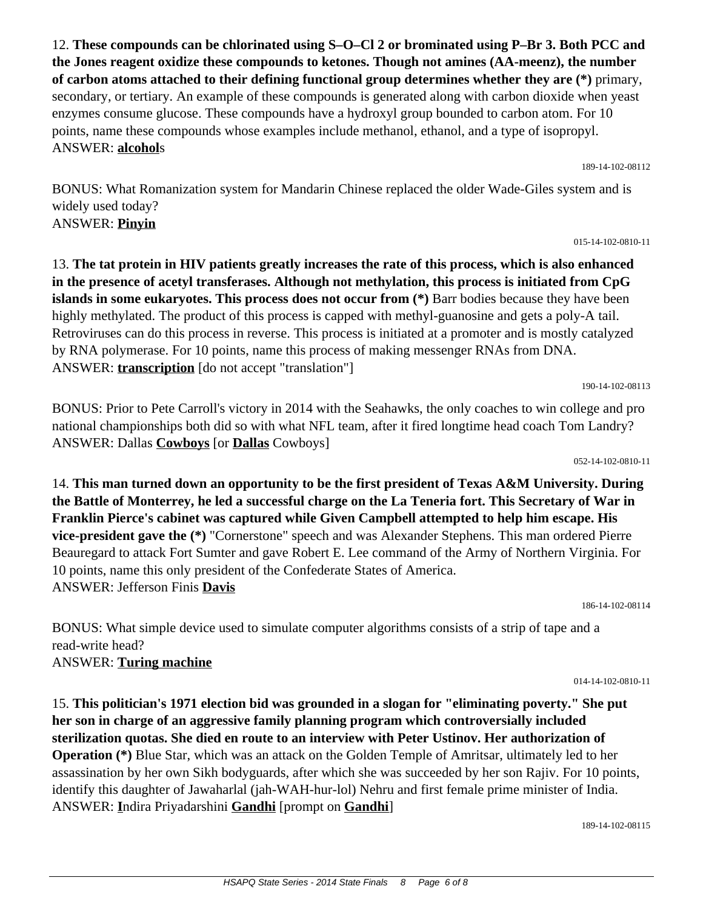12. **These compounds can be chlorinated using S–O–Cl 2 or brominated using P–Br 3. Both PCC and the Jones reagent oxidize these compounds to ketones. Though not amines (AA-meenz), the number of carbon atoms attached to their defining functional group determines whether they are (\*)** primary, secondary, or tertiary. An example of these compounds is generated along with carbon dioxide when yeast enzymes consume glucose. These compounds have a hydroxyl group bounded to carbon atom. For 10 points, name these compounds whose examples include methanol, ethanol, and a type of isopropyl. ANSWER: **alcohol**s

BONUS: What Romanization system for Mandarin Chinese replaced the older Wade-Giles system and is widely used today? ANSWER: **Pinyin**

13. **The tat protein in HIV patients greatly increases the rate of this process, which is also enhanced in the presence of acetyl transferases. Although not methylation, this process is initiated from CpG islands in some eukaryotes. This process does not occur from (\*)** Barr bodies because they have been highly methylated. The product of this process is capped with methyl-guanosine and gets a poly-A tail. Retroviruses can do this process in reverse. This process is initiated at a promoter and is mostly catalyzed by RNA polymerase. For 10 points, name this process of making messenger RNAs from DNA. ANSWER: **transcription** [do not accept "translation"]

BONUS: Prior to Pete Carroll's victory in 2014 with the Seahawks, the only coaches to win college and pro national championships both did so with what NFL team, after it fired longtime head coach Tom Landry? ANSWER: Dallas **Cowboys** [or **Dallas** Cowboys]

14. **This man turned down an opportunity to be the first president of Texas A&M University. During the Battle of Monterrey, he led a successful charge on the La Teneria fort. This Secretary of War in Franklin Pierce's cabinet was captured while Given Campbell attempted to help him escape. His vice-president gave the (\*)** "Cornerstone" speech and was Alexander Stephens. This man ordered Pierre Beauregard to attack Fort Sumter and gave Robert E. Lee command of the Army of Northern Virginia. For 10 points, name this only president of the Confederate States of America. ANSWER: Jefferson Finis **Davis** 186-14-102-08114

BONUS: What simple device used to simulate computer algorithms consists of a strip of tape and a read-write head? ANSWER: **Turing machine**

15. **This politician's 1971 election bid was grounded in a slogan for "eliminating poverty." She put her son in charge of an aggressive family planning program which controversially included sterilization quotas. She died en route to an interview with Peter Ustinov. Her authorization of Operation (\*)** Blue Star, which was an attack on the Golden Temple of Amritsar, ultimately led to her assassination by her own Sikh bodyguards, after which she was succeeded by her son Rajiv. For 10 points, identify this daughter of Jawaharlal (jah-WAH-hur-lol) Nehru and first female prime minister of India. ANSWER: **I**ndira Priyadarshini **Gandhi** [prompt on **Gandhi**]

189-14-102-08115

#### 052-14-102-0810-11

190-14-102-08113

015-14-102-0810-11

014-14-102-0810-11

189-14-102-08112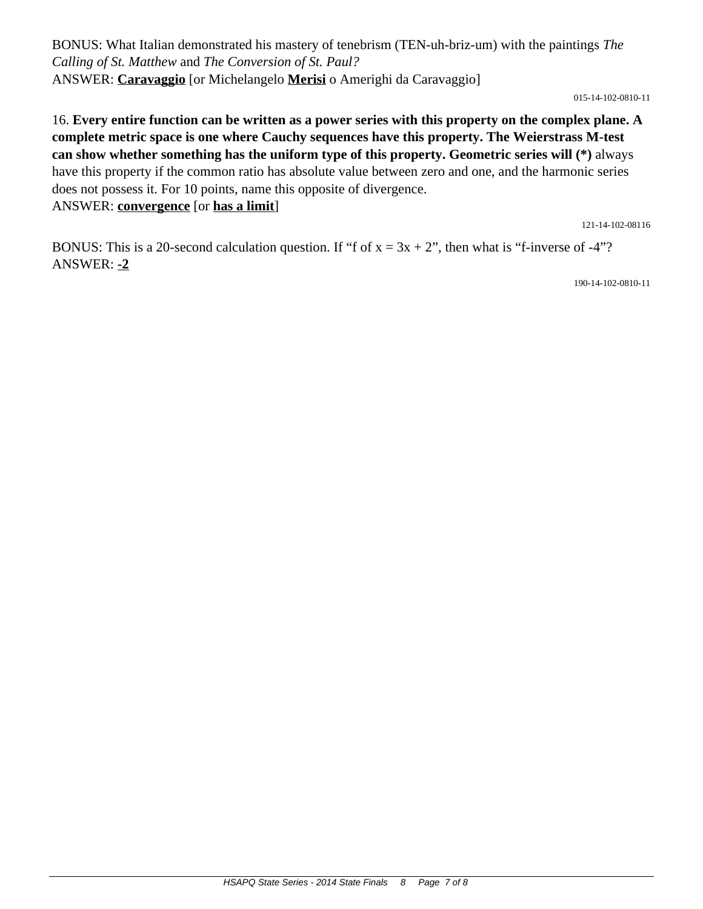BONUS: What Italian demonstrated his mastery of tenebrism (TEN-uh-briz-um) with the paintings *The Calling of St. Matthew* and *The Conversion of St. Paul?* ANSWER: **Caravaggio** [or Michelangelo **Merisi** o Amerighi da Caravaggio]

015-14-102-0810-11

16. **Every entire function can be written as a power series with this property on the complex plane. A complete metric space is one where Cauchy sequences have this property. The Weierstrass M-test can show whether something has the uniform type of this property. Geometric series will (\*)** always have this property if the common ratio has absolute value between zero and one, and the harmonic series does not possess it. For 10 points, name this opposite of divergence. ANSWER: **convergence** [or **has a limit**]

121-14-102-08116

BONUS: This is a 20-second calculation question. If "f of  $x = 3x + 2$ ", then what is "f-inverse of -4"? ANSWER: **-2**